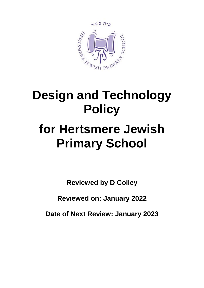

# **Design and Technology Policy**

# **for Hertsmere Jewish Primary School**

**Reviewed by D Colley**

**Reviewed on: January 2022**

**Date of Next Review: January 2023**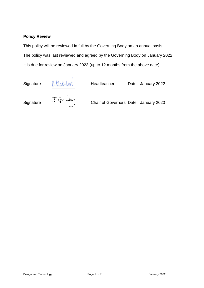#### **Policy Review**

This policy will be reviewed in full by the Governing Body on an annual basis. The policy was last reviewed and agreed by the Governing Body on January 2022. It is due for review on January 2023 (up to 12 months from the above date).

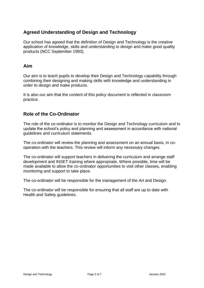# **Agreed Understanding of Design and Technology**

Our school has agreed that the definition of Design and Technology is the creative application of knowledge, skills and understanding to design and make good quality products (NCC September 1993).

#### **Aim**

Our aim is to teach pupils to develop their Design and Technology capability through combining their designing and making skills with knowledge and understanding in order to design and make products.

It is also our aim that the content of this policy document is reflected in classroom practice.

# **Role of the Co-Ordinator**

The role of the co-ordinator is to monitor the Design and Technology curriculum and to update the school's policy and planning and assessment in accordance with national guidelines and curriculum statements.

The co-ordinator will review the planning and assessment on an annual basis, in cooperation with the teachers. This review will inform any necessary changes.

The co-ordinator will support teachers in delivering the curriculum and arrange staff development and INSET training where appropriate. Where possible, time will be made available to allow the co-ordinator opportunities to visit other classes, enabling monitoring and support to take place.

The co-ordinator will be responsible for the management of the Art and Design.

The co-ordinator will be responsible for ensuring that all staff are up to date with Health and Safety guidelines.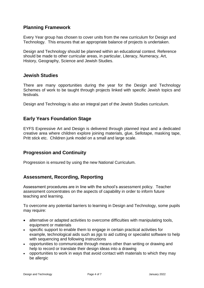### **Planning Framework**

Every Year group has chosen to cover units from the new curriculum for Design and Technology. This ensures that an appropriate balance of projects is undertaken.

Design and Technology should be planned within an educational context. Reference should be made to other curricular areas, in particular, Literacy, Numeracy, Art, History, Geography, Science and Jewish Studies.

#### **Jewish Studies**

There are many opportunities during the year for the Design and Technology Schemes of work to be taught through projects linked with specific Jewish topics and festivals.

Design and Technology is also an integral part of the Jewish Studies curriculum.

### **Early Years Foundation Stage**

EYFS Expressive Art and Design is delivered through planned input and a dedicated creative area where children explore joining materials, glue, Sellotape, masking tape, Pritt stick etc. Children junk model on a small and large scale.

#### **Progression and Continuity**

Progression is ensured by using the new National Curriculum.

#### **Assessment, Recording, Reporting**

Assessment procedures are in line with the school's assessment policy. Teacher assessment concentrates on the aspects of capability in order to inform future teaching and learning.

To overcome any potential barriers to learning in Design and Technology, some pupils may require:

- alternative or adapted activities to overcome difficulties with manipulating tools, equipment or materials
- specific support to enable them to engage in certain practical activities for example, technological aids such as jigs to aid cutting or specialist software to help with sequencing and following instructions
- opportunities to communicate through means other than writing or drawing and help to record or translate their design ideas into a drawing
- opportunities to work in ways that avoid contact with materials to which they may be allergic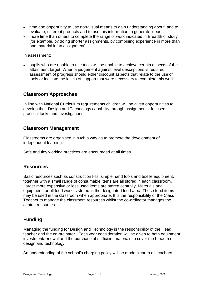- time and opportunity to use non-visual means to gain understanding about, and to evaluate, different products and to use this information to generate ideas
- more time than others to complete the range of work indicated in Breadth of study [for example, by doing shorter assignments, by combining experience in more than one material in an assignment].

In assessment:

• pupils who are unable to use tools will be unable to achieve certain aspects of the attainment target. When a judgement against level descriptions is required, assessment of progress should either discount aspects that relate to the use of tools or indicate the levels of support that were necessary to complete this work.

### **Classroom Approaches**

In line with National Curriculum requirements children will be given opportunities to develop their Design and Technology capability through assignments, focused practical tasks and investigations.

#### **Classroom Management**

Classrooms are organised in such a way as to promote the development of independent learning.

Safe and tidy working practices are encouraged at all times.

#### **Resources**

Basic resources such as construction kits, simple hand tools and textile equipment, together with a small range of consumable items are all stored in each classroom. Larger more expensive or less used items are stored centrally. Materials and equipment for all food work is stored in the designated food area. These food items may be used in the classroom when appropriate. It is the responsibility of the Class Teacher to manage the classroom resources whilst the co-ordinator manages the central resources.

# **Funding**

Managing the funding for Design and Technology is the responsibility of the Head teacher and the co-ordinator. Each year consideration will be given to both equipment investment/renewal and the purchase of sufficient materials to cover the breadth of design and technology.

An understanding of the school's charging policy will be made clear to all teachers.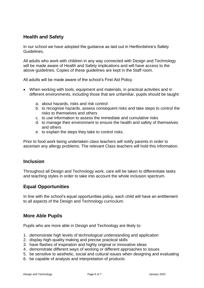# **Health and Safety**

In our school we have adopted the guidance as laid out in Hertfordshire's Safety Guidelines.

All adults who work with children in any way connected with Design and Technology will be made aware of Health and Safety implications and will have access to the above guidelines. Copies of these guidelines are kept in the Staff room.

All adults will be made aware of the school's First Aid Policy.

- When working with tools, equipment and materials, in practical activities and in different environments, including those that are unfamiliar, pupils should be taught:
	- a. about hazards, risks and risk control
	- b. to recognise hazards, assess consequent risks and take steps to control the risks to themselves and others
	- c. to use information to assess the immediate and cumulative risks
	- d. to manage their environment to ensure the health and safety of themselves and others
	- e. to explain the steps they take to control risks.

Prior to food work being undertaken class teachers will notify parents in order to ascertain any allergy problems. The relevant Class teachers will hold this information.

#### **Inclusion**

Throughout all Design and Technology work, care will be taken to differentiate tasks and teaching styles in order to take into account the whole inclusion spectrum.

#### **Equal Opportunities**

In line with the school's equal opportunities policy, each child will have an entitlement to all aspects of the Design and Technology curriculum.

#### **More Able Pupils**

Pupils who are more able in Design and Technology are likely to:

- 1. demonstrate high levels of technological understanding and application
- 2. display high-quality making and precise practical skills
- 3. have flashes of inspiration and highly original or innovative ideas
- 4. demonstrate different ways of working or different approaches to issues
- 5. be sensitive to aesthetic, social and cultural issues when designing and evaluating
- 6. be capable of analysis and interpretation of products